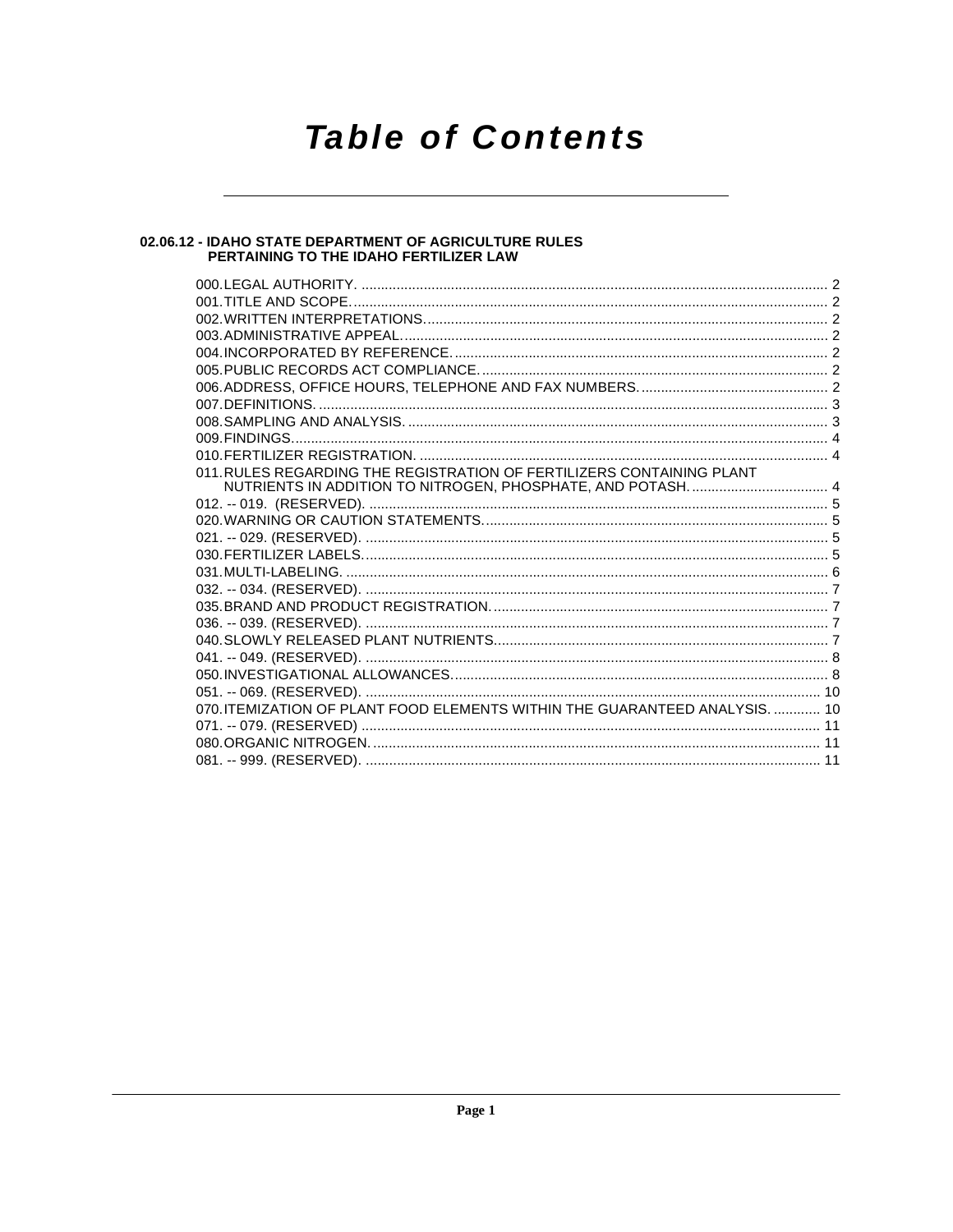# **Table of Contents**

## 02.06.12 - IDAHO STATE DEPARTMENT OF AGRICULTURE RULES<br>PERTAINING TO THE IDAHO FERTILIZER LAW

| 011. RULES REGARDING THE REGISTRATION OF FERTILIZERS CONTAINING PLANT       |  |
|-----------------------------------------------------------------------------|--|
|                                                                             |  |
|                                                                             |  |
|                                                                             |  |
|                                                                             |  |
|                                                                             |  |
|                                                                             |  |
|                                                                             |  |
|                                                                             |  |
|                                                                             |  |
|                                                                             |  |
|                                                                             |  |
|                                                                             |  |
|                                                                             |  |
| 070. ITEMIZATION OF PLANT FOOD ELEMENTS WITHIN THE GUARANTEED ANALYSIS.  10 |  |
|                                                                             |  |
|                                                                             |  |
|                                                                             |  |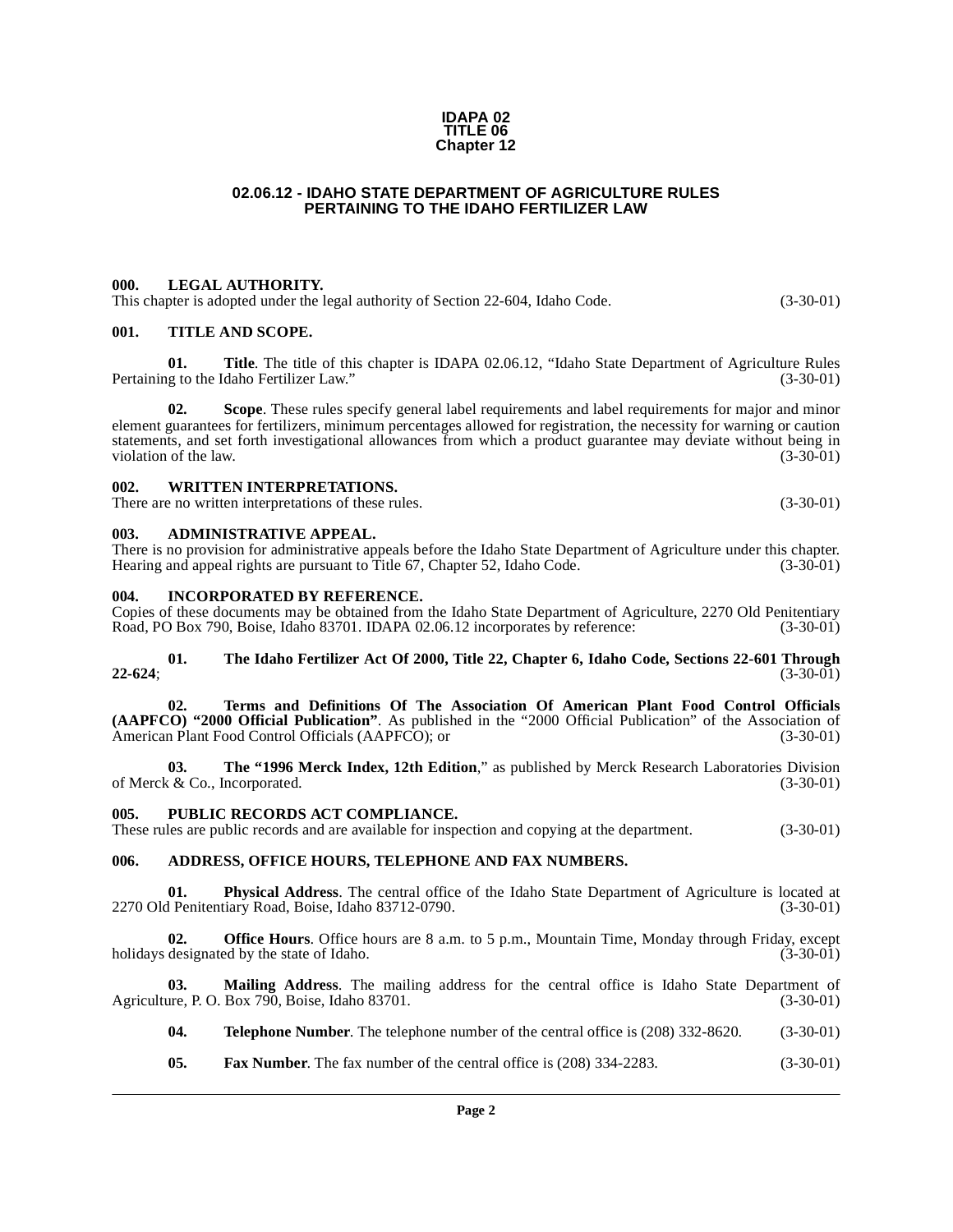#### **IDAPA 02 TITLE 06 Chapter 12**

#### **02.06.12 - IDAHO STATE DEPARTMENT OF AGRICULTURE RULES PERTAINING TO THE IDAHO FERTILIZER LAW**

#### <span id="page-1-1"></span><span id="page-1-0"></span>**000. LEGAL AUTHORITY.**

This chapter is adopted under the legal authority of Section 22-604, Idaho Code. (3-30-01)

#### <span id="page-1-2"></span>**001. TITLE AND SCOPE.**

**01. Title**. The title of this chapter is IDAPA 02.06.12, "Idaho State Department of Agriculture Rules ig to the Idaho Fertilizer Law." (3-30-01) Pertaining to the Idaho Fertilizer Law."

**02. Scope**. These rules specify general label requirements and label requirements for major and minor element guarantees for fertilizers, minimum percentages allowed for registration, the necessity for warning or caution statements, and set forth investigational allowances from which a product guarantee may deviate without being in violation of the law. (3-30-01)

#### <span id="page-1-3"></span>**002. WRITTEN INTERPRETATIONS.**

There are no written interpretations of these rules. (3-30-01)

#### <span id="page-1-4"></span>**003. ADMINISTRATIVE APPEAL.**

There is no provision for administrative appeals before the Idaho State Department of Agriculture under this chapter. Hearing and appeal rights are pursuant to Title 67, Chapter 52, Idaho Code. (3-30-01)

#### <span id="page-1-5"></span>**004. INCORPORATED BY REFERENCE.**

Copies of these documents may be obtained from the Idaho State Department of Agriculture, 2270 Old Penitentiary Road, PO Box 790, Boise, Idaho 83701. IDAPA 02.06.12 incorporates by reference: (3-30-01)

#### **01. The Idaho Fertilizer Act Of 2000, Title 22, Chapter 6, Idaho Code, Sections 22-601 Through 22-624**; (3-30-01)

**02. Terms and Definitions Of The Association Of American Plant Food Control Officials (AAPFCO) "2000 Official Publication"**. As published in the "2000 Official Publication" of the Association of American Plant Food Control Officials (AAPFCO); or (3-30-01)

**03. The "1996 Merck Index, 12th Edition**," as published by Merck Research Laboratories Division of Merck & Co., Incorporated. (3-30-01)

#### <span id="page-1-6"></span>**005. PUBLIC RECORDS ACT COMPLIANCE.**

These rules are public records and are available for inspection and copying at the department. (3-30-01)

#### <span id="page-1-7"></span>**006. ADDRESS, OFFICE HOURS, TELEPHONE AND FAX NUMBERS.**

**01.** Physical Address. The central office of the Idaho State Department of Agriculture is located at 1 Penitentiary Road, Boise, Idaho 83712-0790. 2270 Old Penitentiary Road, Boise, Idaho 83712-0790.

**02. Office Hours**. Office hours are 8 a.m. to 5 p.m., Mountain Time, Monday through Friday, except designated by the state of Idaho. (3-30-01) holidays designated by the state of Idaho.

**03. Mailing Address**. The mailing address for the central office is Idaho State Department of Agriculture, P. O. Box 790, Boise, Idaho 83701. (3-30-01)

- **04. Telephone Number**. The telephone number of the central office is (208) 332-8620. (3-30-01)
- **05. Fax Number**. The fax number of the central office is (208) 334-2283. (3-30-01)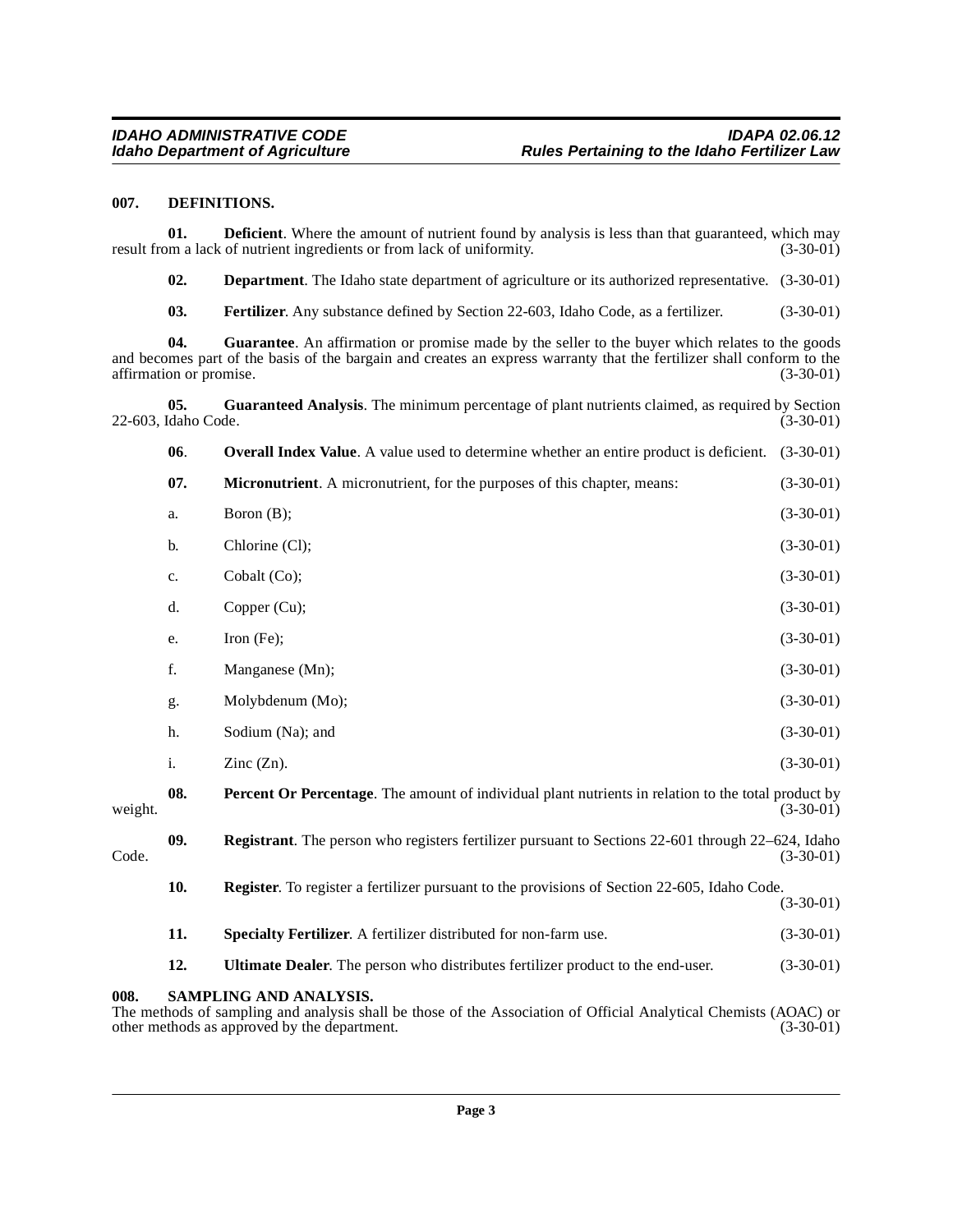#### <span id="page-2-3"></span><span id="page-2-0"></span>**007. DEFINITIONS.**

**01. Deficient**. Where the amount of nutrient found by analysis is less than that guaranteed, which may om a lack of nutrient ingredients or from lack of uniformity. (3-30-01) result from a lack of nutrient ingredients or from lack of uniformity.

<span id="page-2-2"></span>**02. Department**. The Idaho state department of agriculture or its authorized representative.  $(3-30-01)$ 

<span id="page-2-4"></span>**03. Fertilizer**. Any substance defined by Section 22-603, Idaho Code, as a fertilizer. (3-30-01)

**04. Guarantee**. An affirmation or promise made by the seller to the buyer which relates to the goods and becomes part of the basis of the bargain and creates an express warranty that the fertilizer shall conform to the affirmation or promise. (3-30-01) affirmation or promise.

**05.** Guaranteed Analysis. The minimum percentage of plant nutrients claimed, as required by Section (daho Code. (3-30-01) 22-603, Idaho Code.

<span id="page-2-6"></span><span id="page-2-5"></span>

|         | 06. | <b>Overall Index Value.</b> A value used to determine whether an entire product is deficient.                                                                      | $(3-30-01)$ |  |
|---------|-----|--------------------------------------------------------------------------------------------------------------------------------------------------------------------|-------------|--|
|         | 07. | Micronutrient. A micronutrient, for the purposes of this chapter, means:                                                                                           | $(3-30-01)$ |  |
|         | a.  | Boron $(B)$ ;                                                                                                                                                      | $(3-30-01)$ |  |
|         | b.  | Chlorine (Cl);                                                                                                                                                     | $(3-30-01)$ |  |
|         | c.  | Cobalt (Co);                                                                                                                                                       | $(3-30-01)$ |  |
|         | d.  | Copper (Cu);                                                                                                                                                       | $(3-30-01)$ |  |
|         | e.  | Iron $(Fe)$ ;                                                                                                                                                      | $(3-30-01)$ |  |
|         | f.  | Manganese (Mn);                                                                                                                                                    | $(3-30-01)$ |  |
|         | g.  | Molybdenum (Mo);                                                                                                                                                   | $(3-30-01)$ |  |
|         | h.  | Sodium (Na); and                                                                                                                                                   | $(3-30-01)$ |  |
|         | i.  | Zinc $(Zn)$ .                                                                                                                                                      | $(3-30-01)$ |  |
| weight. | 08. | Percent Or Percentage. The amount of individual plant nutrients in relation to the total product by<br>$(3-30-01)$                                                 |             |  |
| Code.   | 09. | <b>Registrant</b> . The person who registers fertilizer pursuant to Sections 22-601 through 22–624, Idaho<br>$(3-30-01)$                                           |             |  |
|         | 10. | Register. To register a fertilizer pursuant to the provisions of Section 22-605, Idaho Code.                                                                       | $(3-30-01)$ |  |
|         | 11. | Specialty Fertilizer. A fertilizer distributed for non-farm use.                                                                                                   | $(3-30-01)$ |  |
|         | 12. | Ultimate Dealer. The person who distributes fertilizer product to the end-user.                                                                                    | $(3-30-01)$ |  |
| 008.    |     | <b>SAMPLING AND ANALYSIS.</b><br>The methods of sampling and analysis shall be those of the Association of Official Analytical Chemists ( $\Delta O \Delta C$ ) or |             |  |

<span id="page-2-8"></span><span id="page-2-7"></span><span id="page-2-1"></span>The methods of sampling and analysis shall be those of the Association of Official Analytical Chemists (AOAC) or other methods as approved by the department. (3-30-01) other methods as approved by the department.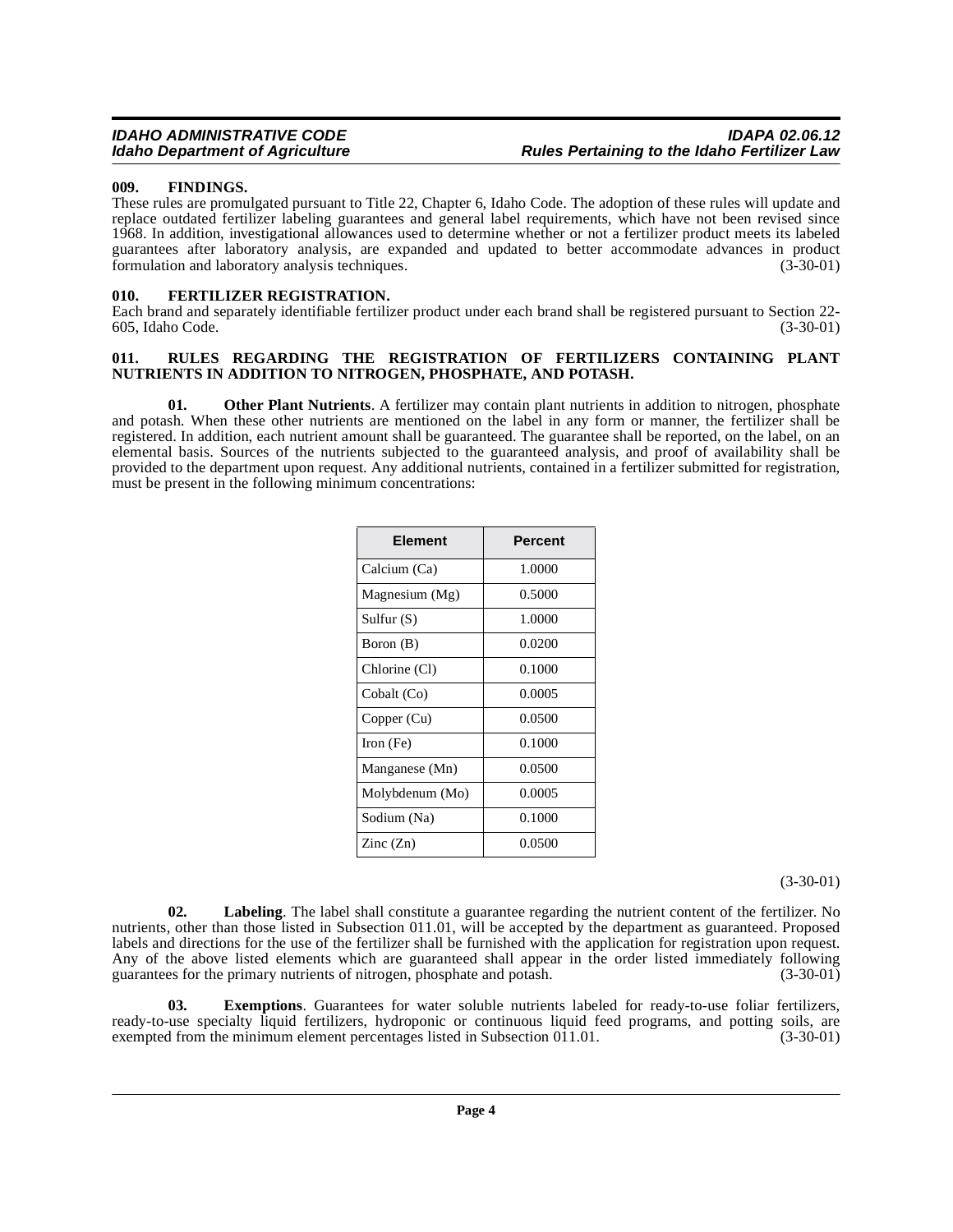#### <span id="page-3-0"></span>**009. FINDINGS.**

These rules are promulgated pursuant to Title 22, Chapter 6, Idaho Code. The adoption of these rules will update and replace outdated fertilizer labeling guarantees and general label requirements, which have not been revised since 1968. In addition, investigational allowances used to determine whether or not a fertilizer product meets its labeled guarantees after laboratory analysis, are expanded and updated to better accommodate advances in product formulation and laboratory analysis techniques. (3-30-01)

#### <span id="page-3-3"></span><span id="page-3-1"></span>**010. FERTILIZER REGISTRATION.**

Each brand and separately identifiable fertilizer product under each brand shall be registered pursuant to Section 22- 605, Idaho Code. (3-30-01)

#### <span id="page-3-5"></span><span id="page-3-2"></span>**011. RULES REGARDING THE REGISTRATION OF FERTILIZERS CONTAINING PLANT NUTRIENTS IN ADDITION TO NITROGEN, PHOSPHATE, AND POTASH.**

**01.** Other Plant Nutrients. A fertilizer may contain plant nutrients in addition to nitrogen, phosphate and potash. When these other nutrients are mentioned on the label in any form or manner, the fertilizer shall be registered. In addition, each nutrient amount shall be guaranteed. The guarantee shall be reported, on the label, on an elemental basis. Sources of the nutrients subjected to the guaranteed analysis, and proof of availability shall be provided to the department upon request. Any additional nutrients, contained in a fertilizer submitted for registration, must be present in the following minimum concentrations:

| <b>Element</b>           | <b>Percent</b> |
|--------------------------|----------------|
| Calcium (Ca)             | 1.0000         |
| Magnesium (Mg)           | 0.5000         |
| Sulfur $(S)$             | 1.0000         |
| Boron (B)                | 0.0200         |
| Chlorine (Cl)            | 0.1000         |
| Cobalt (Co)              | 0.0005         |
| Copper (Cu)              | 0.0500         |
| Iron $(Fe)$              | 0.1000         |
| Manganese (Mn)           | 0.0500         |
| Molybdenum (Mo)          | 0.0005         |
| Sodium (Na)              | 0.1000         |
| $\text{Zinc}(\text{Zn})$ | 0.0500         |

(3-30-01)

<span id="page-3-4"></span>**02. Labeling**. The label shall constitute a guarantee regarding the nutrient content of the fertilizer. No nutrients, other than those listed in Subsection 011.01, will be accepted by the department as guaranteed. Proposed labels and directions for the use of the fertilizer shall be furnished with the application for registration upon request. Any of the above listed elements which are guaranteed shall appear in the order listed immediately following guarantees for the primary nutrients of nitrogen, phosphate and potash. (3-30-01) guarantees for the primary nutrients of nitrogen, phosphate and potash.

**03. Exemptions**. Guarantees for water soluble nutrients labeled for ready-to-use foliar fertilizers, ready-to-use specialty liquid fertilizers, hydroponic or continuous liquid feed programs, and potting soils, are exempted from the minimum element percentages listed in Subsection  $011.01$ .  $(3-30-01)$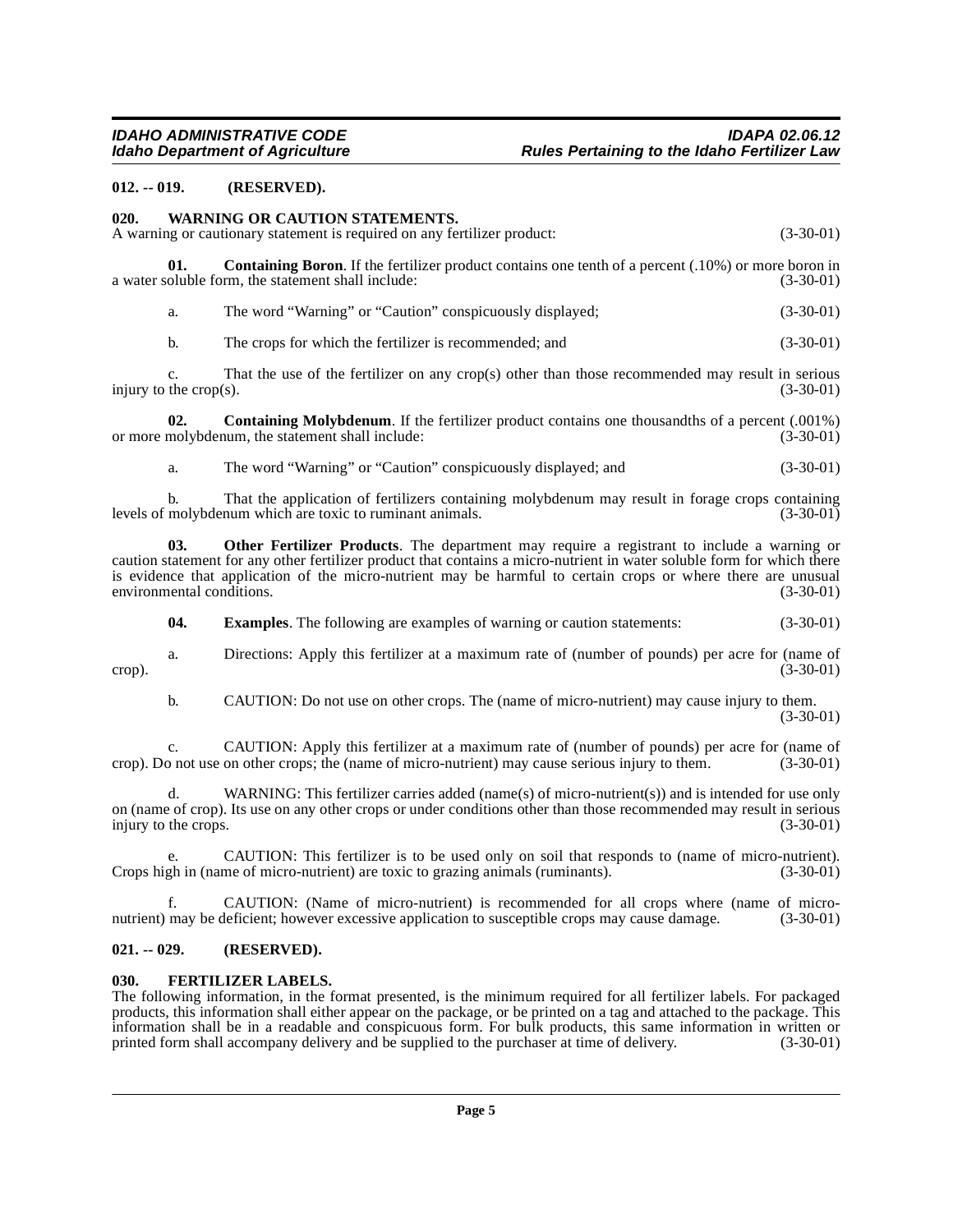#### <span id="page-4-0"></span>**012. -- 019. (RESERVED).**

#### <span id="page-4-8"></span><span id="page-4-1"></span>**020. WARNING OR CAUTION STATEMENTS.**

A warning or cautionary statement is required on any fertilizer product: (3-30-01)

**01. Containing Boron**. If the fertilizer product contains one tenth of a percent (.10%) or more boron in oluble form, the statement shall include: (3-30-01) a water soluble form, the statement shall include:

<span id="page-4-4"></span>a. The word "Warning" or "Caution" conspicuously displayed; (3-30-01)

b. The crops for which the fertilizer is recommended; and (3-30-01)

c. That the use of the fertilizer on any crop(s) other than those recommended may result in serious injury to the crop(s).  $(3-30-01)$ 

**02. Containing Molybdenum**. If the fertilizer product contains one thousandths of a percent (.001%) molybdenum, the statement shall include: (3-30-01) or more molybdenum, the statement shall include:

<span id="page-4-7"></span><span id="page-4-5"></span>a. The word "Warning" or "Caution" conspicuously displayed; and (3-30-01)

b. That the application of fertilizers containing molybdenum may result in forage crops containing molybdenum which are toxic to ruminant animals. (3-30-01) levels of molybdenum which are toxic to ruminant animals.

**03. Other Fertilizer Products**. The department may require a registrant to include a warning or caution statement for any other fertilizer product that contains a micro-nutrient in water soluble form for which there is evidence that application of the micro-nutrient may be harmful to certain crops or where there are unusual environmental conditions. (3-30-01) environmental conditions.

**04. Examples**. The following are examples of warning or caution statements: (3-30-01)

a. Directions: Apply this fertilizer at a maximum rate of (number of pounds) per acre for (name of crop).  $(3-30-01)$ 

b. CAUTION: Do not use on other crops. The (name of micro-nutrient) may cause injury to them. (3-30-01)

c. CAUTION: Apply this fertilizer at a maximum rate of (number of pounds) per acre for (name of crop). Do not use on other crops; the (name of micro-nutrient) may cause serious injury to them. (3-30-01)

d. WARNING: This fertilizer carries added (name(s) of micro-nutrient(s)) and is intended for use only on (name of crop). Its use on any other crops or under conditions other than those recommended may result in serious injury to the crops.

e. CAUTION: This fertilizer is to be used only on soil that responds to (name of micro-nutrient).<br>gh in (name of micro-nutrient) are toxic to grazing animals (ruminants). (3-30-01) Crops high in (name of micro-nutrient) are toxic to grazing animals (ruminants).

f. CAUTION: (Name of micro-nutrient) is recommended for all crops where (name of micronutrient) may be deficient; however excessive application to susceptible crops may cause damage. (3-30-01)

#### <span id="page-4-2"></span>**021. -- 029. (RESERVED).**

#### <span id="page-4-6"></span><span id="page-4-3"></span>**030. FERTILIZER LABELS.**

The following information, in the format presented, is the minimum required for all fertilizer labels. For packaged products, this information shall either appear on the package, or be printed on a tag and attached to the package. This information shall be in a readable and conspicuous form. For bulk products, this same information in written or printed form shall accompany delivery and be supplied to the purchaser at time of delivery.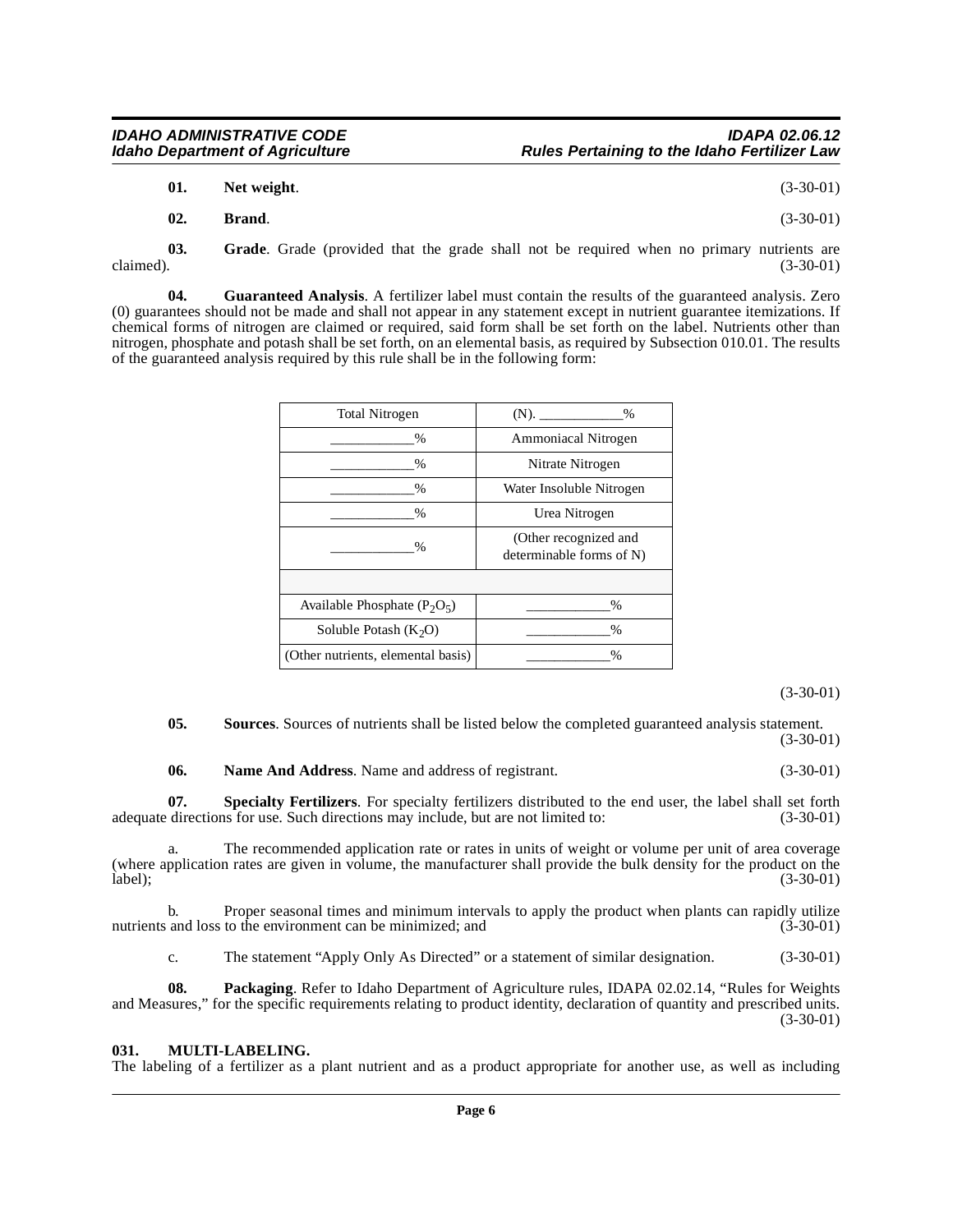| 01. | Net weight. | $(3-30-01)$ |
|-----|-------------|-------------|
|-----|-------------|-------------|

<span id="page-5-1"></span>**02. Brand**. (3-30-01)

**03.** Grade. Grade (provided that the grade shall not be required when no primary nutrients are claimed). (3-30-01) claimed).  $(3-30-01)$ 

**04. Guaranteed Analysis**. A fertilizer label must contain the results of the guaranteed analysis. Zero (0) guarantees should not be made and shall not appear in any statement except in nutrient guarantee itemizations. If chemical forms of nitrogen are claimed or required, said form shall be set forth on the label. Nutrients other than nitrogen, phosphate and potash shall be set forth, on an elemental basis, as required by Subsection 010.01. The results of the guaranteed analysis required by this rule shall be in the following form:

| <b>Total Nitrogen</b>              | $(N)$ .<br>%                                      |
|------------------------------------|---------------------------------------------------|
| $\%$                               | <b>Ammoniacal Nitrogen</b>                        |
| $\frac{0}{0}$                      | Nitrate Nitrogen                                  |
| $\%$                               | Water Insoluble Nitrogen                          |
| $\frac{0}{0}$                      | Urea Nitrogen                                     |
| $\frac{0}{0}$                      | (Other recognized and<br>determinable forms of N) |
|                                    |                                                   |
| Available Phosphate $(P_2O_5)$     | $\%$                                              |
| Soluble Potash $(K_2O)$            | $\%$                                              |
| (Other nutrients, elemental basis) | $\%$                                              |

(3-30-01)

**05.** Sources. Sources of nutrients shall be listed below the completed guaranteed analysis statement. (3-30-01)

<span id="page-5-4"></span><span id="page-5-3"></span>**06. Name And Address**. Name and address of registrant. (3-30-01)

**07. Specialty Fertilizers**. For specialty fertilizers distributed to the end user, the label shall set forth adequate directions for use. Such directions may include, but are not limited to: (3-30-01)

The recommended application rate or rates in units of weight or volume per unit of area coverage (where application rates are given in volume, the manufacturer shall provide the bulk density for the product on the label);<br>(3-30-01)  $\text{label}$ ); (3-30-01)

b. Proper seasonal times and minimum intervals to apply the product when plants can rapidly utilize and loss to the environment can be minimized; and (3-30-01) nutrients and loss to the environment can be minimized; and

c. The statement "Apply Only As Directed" or a statement of similar designation. (3-30-01)

**08. Packaging**. Refer to Idaho Department of Agriculture rules, IDAPA 02.02.14, "Rules for Weights and Measures," for the specific requirements relating to product identity, declaration of quantity and prescribed units. (3-30-01)

### <span id="page-5-2"></span><span id="page-5-0"></span>**031. MULTI-LABELING.**

The labeling of a fertilizer as a plant nutrient and as a product appropriate for another use, as well as including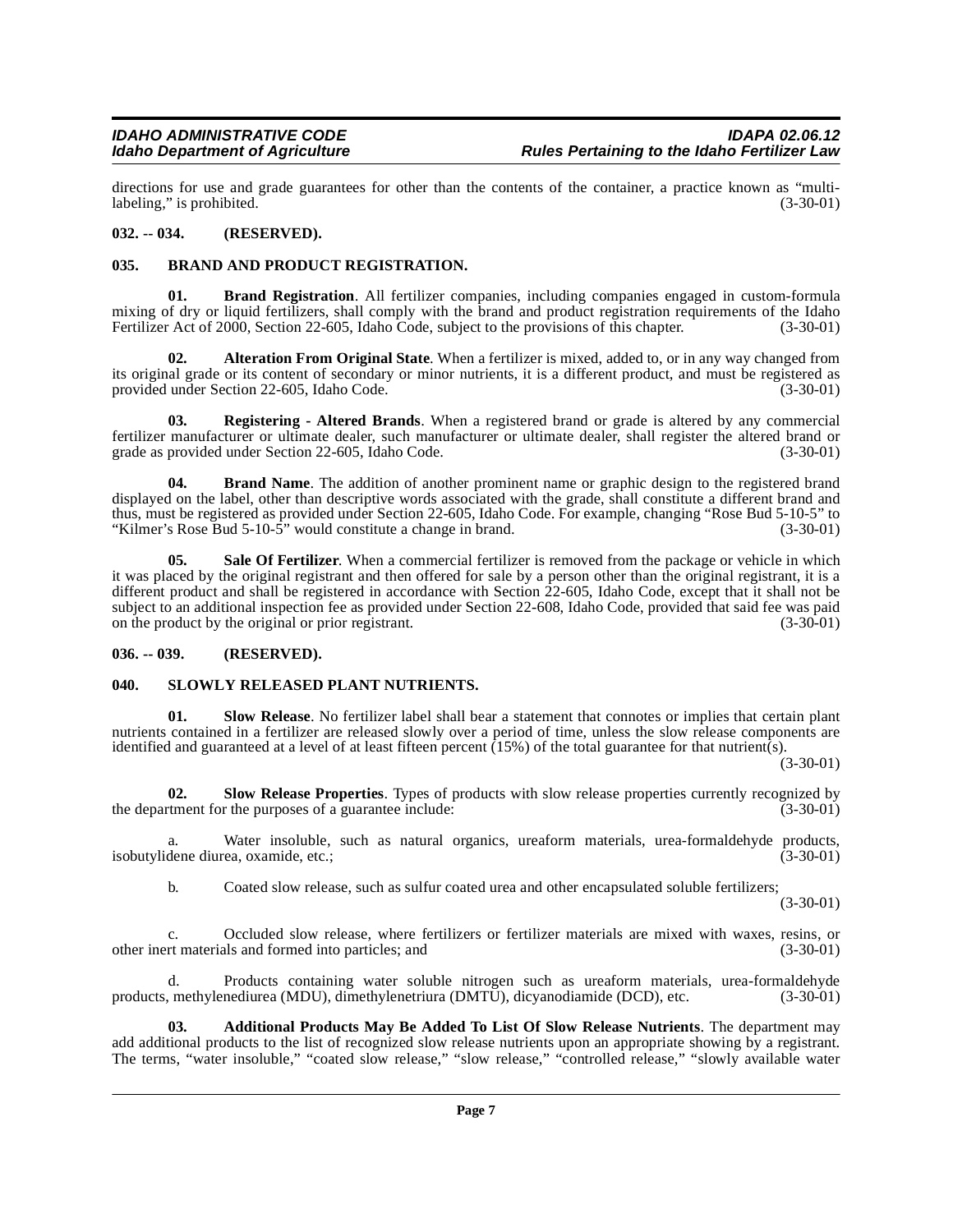directions for use and grade guarantees for other than the contents of the container, a practice known as "multi-<br>(3-30-01) (3-30-01) labeling," is prohibited.

#### <span id="page-6-0"></span>**032. -- 034. (RESERVED).**

#### <span id="page-6-5"></span><span id="page-6-1"></span>**035. BRAND AND PRODUCT REGISTRATION.**

<span id="page-6-7"></span>**01. Brand Registration**. All fertilizer companies, including companies engaged in custom-formula mixing of dry or liquid fertilizers, shall comply with the brand and product registration requirements of the Idaho Fertilizer Act of 2000, Section 22-605, Idaho Code, subject to the provisions of this chapter. (3-30-01)

<span id="page-6-4"></span>**02. Alteration From Original State**. When a fertilizer is mixed, added to, or in any way changed from its original grade or its content of secondary or minor nutrients, it is a different product, and must be registered as provided under Section 22-605, Idaho Code. (3-30-01)

<span id="page-6-8"></span>**03. Registering - Altered Brands**. When a registered brand or grade is altered by any commercial fertilizer manufacturer or ultimate dealer, such manufacturer or ultimate dealer, shall register the altered brand or grade as provided under Section 22-605, Idaho Code.

<span id="page-6-6"></span>**04. Brand Name**. The addition of another prominent name or graphic design to the registered brand displayed on the label, other than descriptive words associated with the grade, shall constitute a different brand and thus, must be registered as provided under Section 22-605, Idaho Code. For example, changing "Rose Bud 5-10-5" to "Kilmer's Rose Bud  $5\t{-}10\t{-}5$ " would constitute a change in brand.

<span id="page-6-9"></span>**05. Sale Of Fertilizer**. When a commercial fertilizer is removed from the package or vehicle in which it was placed by the original registrant and then offered for sale by a person other than the original registrant, it is a different product and shall be registered in accordance with Section 22-605, Idaho Code, except that it shall not be subject to an additional inspection fee as provided under Section 22-608, Idaho Code, provided that said fee was paid on the product by the original or prior registrant. (3-30-01)

#### <span id="page-6-2"></span>**036. -- 039. (RESERVED).**

#### <span id="page-6-12"></span><span id="page-6-3"></span>**040. SLOWLY RELEASED PLANT NUTRIENTS.**

<span id="page-6-11"></span>**01. Slow Release**. No fertilizer label shall bear a statement that connotes or implies that certain plant nutrients contained in a fertilizer are released slowly over a period of time, unless the slow release components are identified and guaranteed at a level of at least fifteen percent (15%) of the total guarantee for that nutrient(s).

(3-30-01)

<span id="page-6-10"></span>**02.** Slow Release Properties. Types of products with slow release properties currently recognized by the purposes of a guarantee include: (3-30-01) the department for the purposes of a guarantee include:

a. Water insoluble, such as natural organics, ureaform materials, urea-formaldehyde products, dene diurea, oxamide, etc.; isobutylidene diurea, oxamide, etc.;

b. Coated slow release, such as sulfur coated urea and other encapsulated soluble fertilizers;

(3-30-01)

c. Occluded slow release, where fertilizers or fertilizer materials are mixed with waxes, resins, or rt materials and formed into particles; and other inert materials and formed into particles; and

Products containing water soluble nitrogen such as ureaform materials, urea-formaldehyde products, methylenediurea (MDU), dimethylenetriura (DMTU), dicyanodiamide (DCD), etc. (3-30-01)

**03. Additional Products May Be Added To List Of Slow Release Nutrients**. The department may add additional products to the list of recognized slow release nutrients upon an appropriate showing by a registrant. The terms, "water insoluble," "coated slow release," "slow release," "controlled release," "slowly available water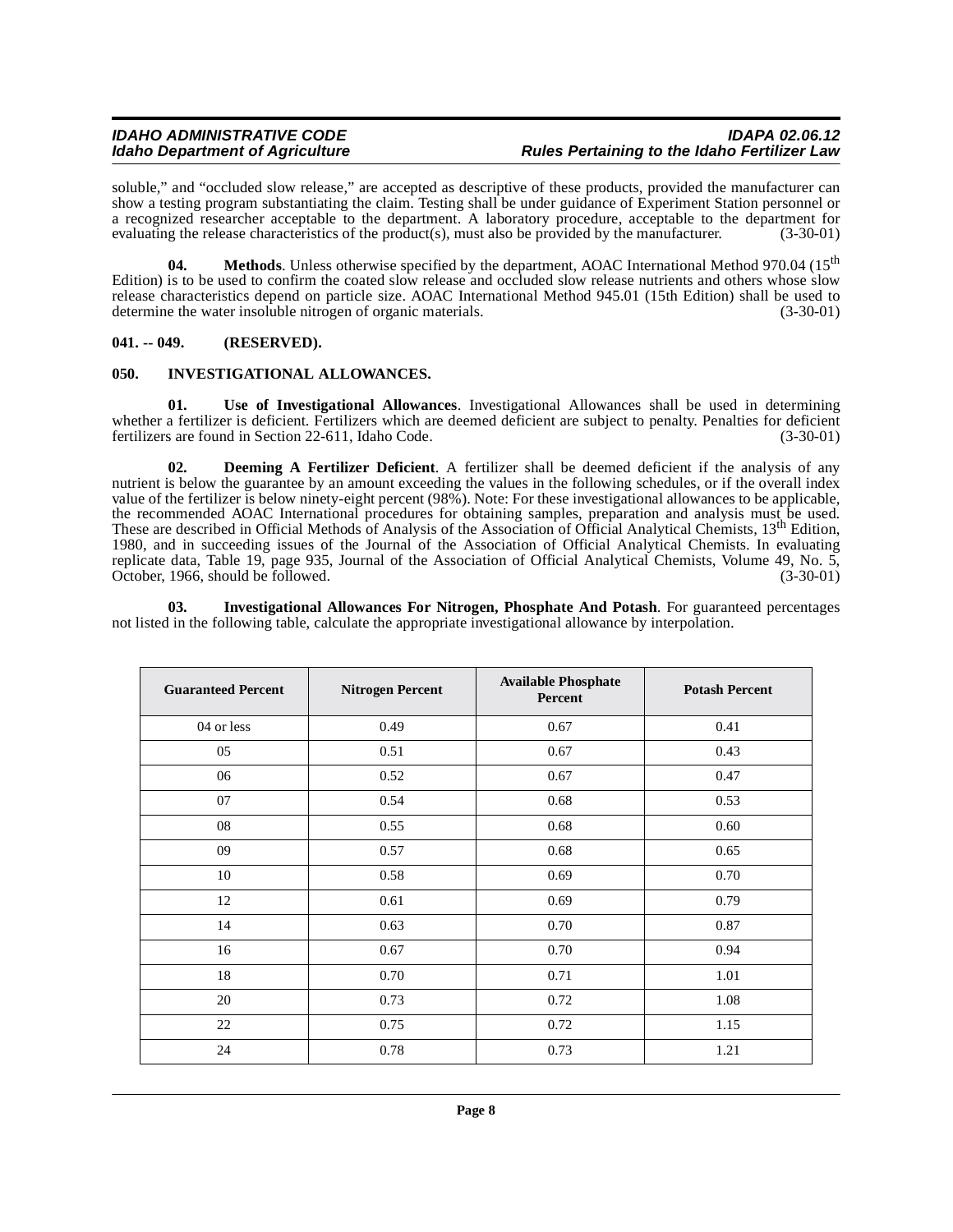soluble," and "occluded slow release," are accepted as descriptive of these products, provided the manufacturer can show a testing program substantiating the claim. Testing shall be under guidance of Experiment Station personnel or a recognized researcher acceptable to the department. A laboratory procedure, acceptable to the department for evaluating the release characteristics of the product(s), must also be provided by the manufacturer. (3-30-01)

**04.** Methods. Unless otherwise specified by the department, AOAC International Method 970.04 (15<sup>th</sup>) Edition) is to be used to confirm the coated slow release and occluded slow release nutrients and others whose slow release characteristics depend on particle size. AOAC International Method 945.01 (15th Edition) shall be used to determine the water insoluble nitrogen of organic materials. (3-30-01)

#### <span id="page-7-0"></span>**041. -- 049. (RESERVED).**

#### <span id="page-7-4"></span><span id="page-7-1"></span>**050. INVESTIGATIONAL ALLOWANCES.**

**01. Use of Investigational Allowances**. Investigational Allowances shall be used in determining whether a fertilizer is deficient. Fertilizers which are deemed deficient are subject to penalty. Penalties for deficient fertilizers are found in Section 22-611, Idaho Code. (3-30-01) fertilizers are found in Section 22-611, Idaho Code.

<span id="page-7-2"></span>**02. Deeming A Fertilizer Deficient**. A fertilizer shall be deemed deficient if the analysis of any nutrient is below the guarantee by an amount exceeding the values in the following schedules, or if the overall index value of the fertilizer is below ninety-eight percent (98%). Note: For these investigational allowances to be applicable, the recommended AOAC International procedures for obtaining samples, preparation and analysis must be used. These are described in Official Methods of Analysis of the Association of Official Analytical Chemists, 13<sup>th</sup> Edition, 1980, and in succeeding issues of the Journal of the Association of Official Analytical Chemists. In evaluating replicate data, Table 19, page 935, Journal of the Association of Official Analytical Chemists, Volume 49, No. 5, October, 1966, should be followed.

<span id="page-7-3"></span>**03. Investigational Allowances For Nitrogen, Phosphate And Potash**. For guaranteed percentages not listed in the following table, calculate the appropriate investigational allowance by interpolation.

| <b>Guaranteed Percent</b> | <b>Nitrogen Percent</b> | <b>Available Phosphate</b><br>Percent | <b>Potash Percent</b> |
|---------------------------|-------------------------|---------------------------------------|-----------------------|
| 04 or less                | 0.49                    | 0.67                                  | 0.41                  |
| 05                        | 0.51                    | 0.67                                  | 0.43                  |
| 06                        | 0.52                    | 0.67                                  | 0.47                  |
| 07                        | 0.54                    | 0.68                                  | 0.53                  |
| 08                        | 0.55                    | 0.68                                  | 0.60                  |
| 09                        | 0.57                    | 0.68                                  | 0.65                  |
| 10                        | 0.58                    | 0.69                                  | 0.70                  |
| 12                        | 0.61                    | 0.69                                  | 0.79                  |
| 14                        | 0.63                    | 0.70                                  | 0.87                  |
| 16                        | 0.67                    | 0.70                                  | 0.94                  |
| 18                        | 0.70                    | 0.71                                  | 1.01                  |
| 20                        | 0.73                    | 0.72                                  | 1.08                  |
| 22                        | 0.75                    | 0.72                                  | 1.15                  |
| 24                        | 0.78                    | 0.73                                  | 1.21                  |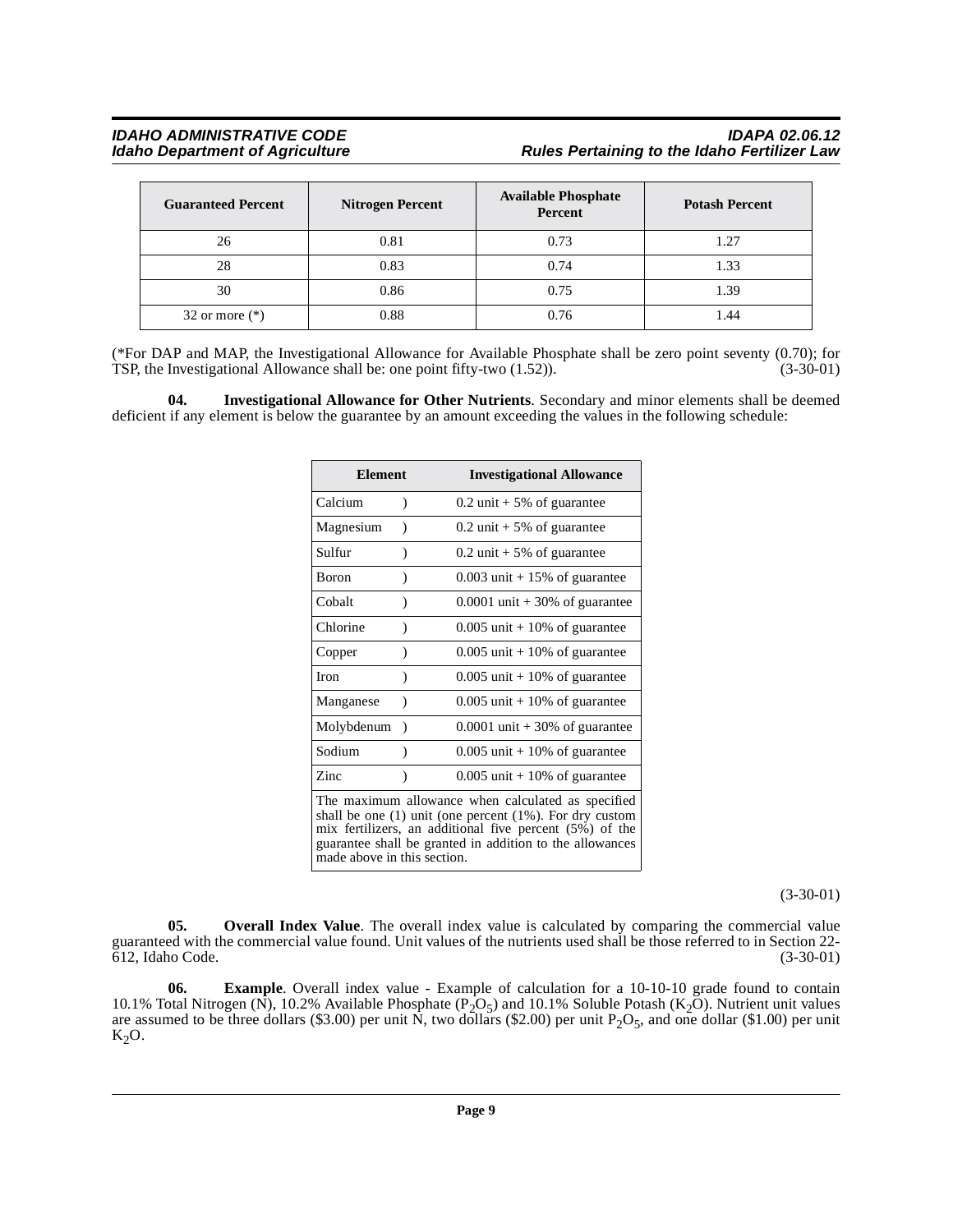### **IDAHO ADMINISTRATIVE CODE IDAPA 02.06.12 Rules Pertaining to the Idaho Fertilizer Law**

| <b>Guaranteed Percent</b> | <b>Nitrogen Percent</b> | <b>Available Phosphate</b><br>Percent | <b>Potash Percent</b> |  |
|---------------------------|-------------------------|---------------------------------------|-----------------------|--|
| 26                        | 0.81                    | 0.73                                  | 1.27                  |  |
| 28                        | 0.83                    | 0.74                                  | 1.33                  |  |
| 30                        | 0.86                    | 0.75                                  | 1.39                  |  |
| 32 or more $(*)$          | 0.88                    | 0.76                                  | .44                   |  |

(\*For DAP and MAP, the Investigational Allowance for Available Phosphate shall be zero point seventy (0.70); for TSP, the Investigational Allowance shall be: one point fifty-two (1.52)). (3-30-01)

<span id="page-8-0"></span>**04. Investigational Allowance for Other Nutrients**. Secondary and minor elements shall be deemed deficient if any element is below the guarantee by an amount exceeding the values in the following schedule:

| <b>Element</b>                                                                                                                                                                                                                                                             |           | <b>Investigational Allowance</b> |
|----------------------------------------------------------------------------------------------------------------------------------------------------------------------------------------------------------------------------------------------------------------------------|-----------|----------------------------------|
| Calcium                                                                                                                                                                                                                                                                    | )         | $0.2$ unit + 5% of guarantee     |
| Magnesium                                                                                                                                                                                                                                                                  | ℩         | $0.2$ unit + 5% of guarantee     |
| Sulfur                                                                                                                                                                                                                                                                     | )         | $0.2$ unit + 5% of guarantee     |
| Boron                                                                                                                                                                                                                                                                      | )         | $0.003$ unit + 15% of guarantee  |
| Cobalt                                                                                                                                                                                                                                                                     |           | $0.0001$ unit + 30% of guarantee |
| Chlorine                                                                                                                                                                                                                                                                   | $\lambda$ | $0.005$ unit + 10% of guarantee  |
| Copper                                                                                                                                                                                                                                                                     | 1         | $0.005$ unit + 10% of guarantee  |
| <b>Iron</b>                                                                                                                                                                                                                                                                | )         | $0.005$ unit + 10% of guarantee  |
| Manganese                                                                                                                                                                                                                                                                  | $\lambda$ | $0.005$ unit + 10% of guarantee  |
| Molybdenum                                                                                                                                                                                                                                                                 | $\lambda$ | $0.0001$ unit + 30% of guarantee |
| Sodium                                                                                                                                                                                                                                                                     |           | $0.005$ unit + 10% of guarantee  |
| Zinc                                                                                                                                                                                                                                                                       | $\lambda$ | $0.005$ unit + 10% of guarantee  |
| The maximum allowance when calculated as specified<br>shall be one $(1)$ unit (one percent $(1\%)$ ). For dry custom<br>mix fertilizers, an additional five percent (5%) of the<br>guarantee shall be granted in addition to the allowances<br>made above in this section. |           |                                  |

(3-30-01)

<span id="page-8-1"></span>**05.** Overall Index Value. The overall index value is calculated by comparing the commercial value guaranteed with the commercial value found. Unit values of the nutrients used shall be those referred to in Section 22-  $612$ , Idaho Code.

**06. Example**. Overall index value - Example of calculation for a 10-10-10 grade found to contain 10.1% Total Nitrogen (N), 10.2% Available Phosphate (P<sub>2</sub>O<sub>5</sub>) and 10.1% Soluble Potash (K<sub>2</sub>O). Nutrient unit values are assumed to be three dollars (\$3.00) per unit  $\tilde{N}$ , two dollars (\$2.00) per unit  $P_2O_5$ , and one dollar (\$1.00) per unit  $K_2O$ .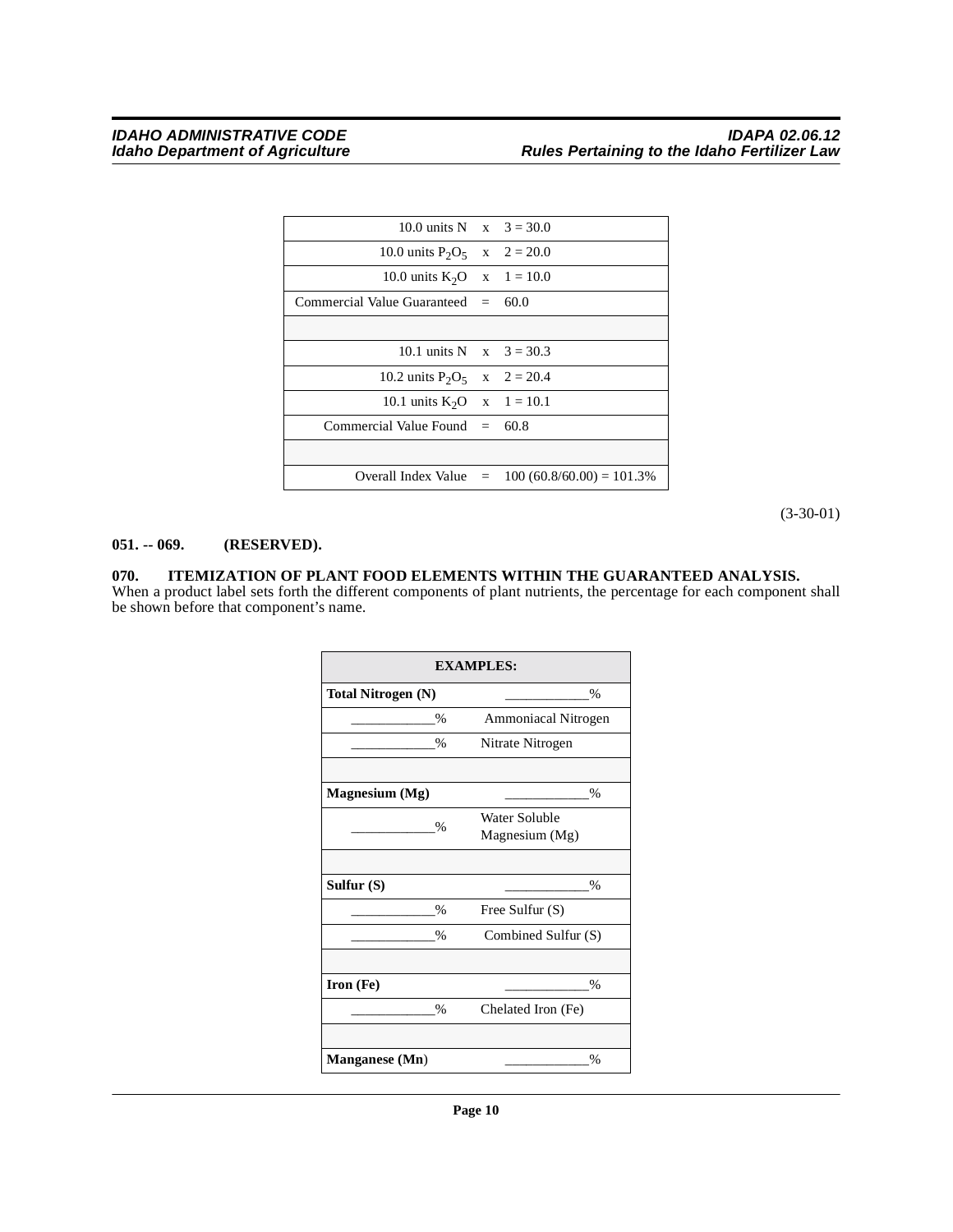| 10.0 units N $x = 3 = 30.0$          |                                                    |
|--------------------------------------|----------------------------------------------------|
| 10.0 units $P_2O_5$ x 2 = 20.0       |                                                    |
| 10.0 units $K_2O$ x 1 = 10.0         |                                                    |
| Commercial Value Guaranteed $= 60.0$ |                                                    |
|                                      |                                                    |
| 10.1 units N $x = 3 = 30.3$          |                                                    |
| 10.2 units $P_2O_5$ x 2 = 20.4       |                                                    |
| 10.1 units $K_2O$ x 1 = 10.1         |                                                    |
| Commercial Value Found $= 60.8$      |                                                    |
|                                      |                                                    |
|                                      | Overall Index Value $= 100 (60.8/60.00) = 101.3\%$ |

(3-30-01)

#### <span id="page-9-0"></span>**051. -- 069. (RESERVED).**

#### <span id="page-9-2"></span><span id="page-9-1"></span>**070. ITEMIZATION OF PLANT FOOD ELEMENTS WITHIN THE GUARANTEED ANALYSIS.**

When a product label sets forth the different components of plant nutrients, the percentage for each component shall be shown before that component's name.

|                           | <b>EXAMPLES:</b>    |
|---------------------------|---------------------|
| <b>Total Nitrogen (N)</b> | %                   |
| $\frac{0}{0}$             | Ammoniacal Nitrogen |
| %                         | Nitrate Nitrogen    |
|                           |                     |
| <b>Magnesium</b> (Mg)     | $\frac{0}{0}$       |
| $\%$                      | Water Soluble       |
|                           | Magnesium (Mg)      |
|                           |                     |
| Sulfur $(S)$              | %                   |
| $\%$                      | Free Sulfur (S)     |
| %                         | Combined Sulfur (S) |
|                           |                     |
| Iron (Fe)                 | $\frac{0}{0}$       |
| %                         | Chelated Iron (Fe)  |
|                           |                     |
| <b>Manganese</b> (Mn)     | $\frac{0}{0}$       |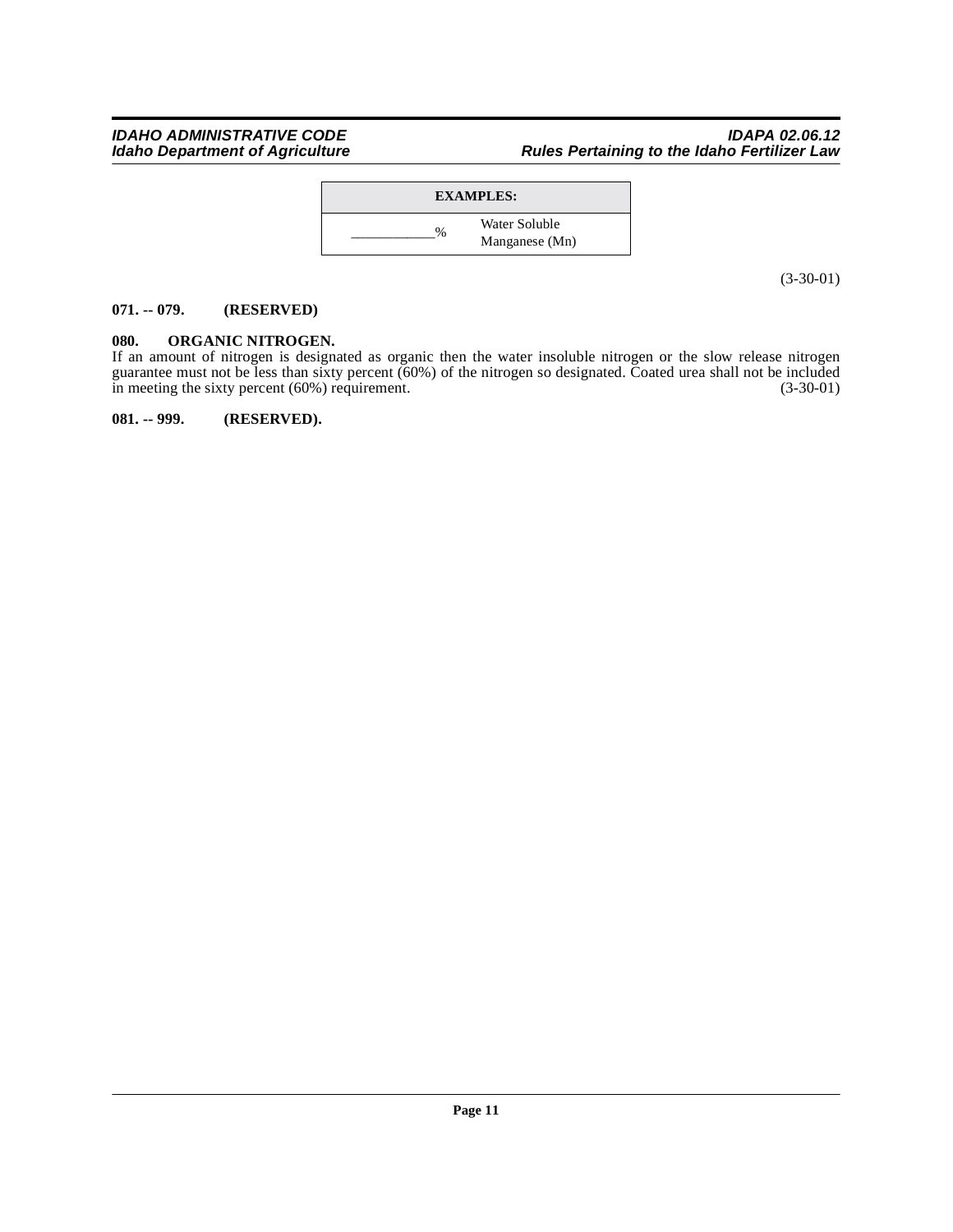#### IDAHO ADMINISTRATIVE CODE<br>Idaho Department of Agriculture **Integraty Properties Agriculture** Rules Pertaining to the Idaho Fertilizer Law **Rules Pertaining to the Idaho Fertilizer Law**



(3-30-01)

#### <span id="page-10-0"></span>**071. -- 079. (RESERVED)**

### <span id="page-10-1"></span>**080. ORGANIC NITROGEN.**

If an amount of nitrogen is designated as organic then the water insoluble nitrogen or the slow release nitrogen guarantee must not be less than sixty percent (60%) of the nitrogen so designated. Coated urea shall not be included in meeting the sixty percent (60%) requirement. (3-30-01)

<span id="page-10-2"></span>**081. -- 999. (RESERVED).**